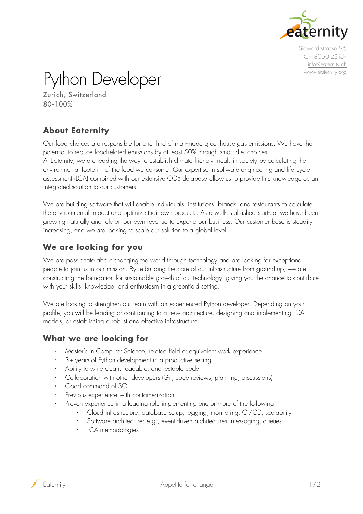

Siewerdtstrasse 95 CH-8050 Zürich [info@eaternity.ch](mailto:info@eaternity.ch) [www.eaternity.org](http://www.eaternity.org/)

Python Developer

Zurich, Switzerland 80-100%

# **About Eaternity**

Our food choices are responsible for one third of man-made greenhouse gas emissions. We have the potential to reduce food-related emissions by at least 50% through smart diet choices. At [Eaternity,](http://www.eaternity.ch/) we are leading the way to establish climate friendly meals in society by calculating the environmental footprint of the food we consume. Our expertise in software engineering and life cycle assessment (LCA) combined with our extensive CO2 database allow us to provide this knowledge as an integrated solution to our customers.

We are building software that will enable individuals, institutions, brands, and restaurants to calculate the environmental impact and optimize their own products. As a well-established start-up, we have been growing naturally and rely on our own revenue to expand our business. Our customer base is steadily increasing, and we are looking to scale our solution to a global level.

## **We are looking for you**

We are passionate about changing the world through technology and are looking for exceptional people to join us in our mission. By re-building the core of our infrastructure from ground up, we are constructing the foundation for sustainable growth of our technology, giving you the chance to contribute with your skills, knowledge, and enthusiasm in a greenfield setting.

We are looking to strengthen our team with an experienced Python developer. Depending on your profile, you will be leading or contributing to a new architecture, designing and implementing LCA models, or establishing a robust and effective infrastructure.

### **What we are looking for**

- Master's in Computer Science, related field or equivalent work experience
- 3+ years of Python development in a productive setting
- Ability to write clean, readable, and testable code
- Collaboration with other developers (Git, code reviews, planning, discussions)
- Good command of SQL
- Previous experience with containerization
	- Proven experience in a leading role implementing one or more of the following:
		- Cloud infrastructure: database setup, logging, monitoring, CI/CD, scalability
		- Software architecture: e.g., event-driven architectures, messaging, queues
		- LCA methodologies